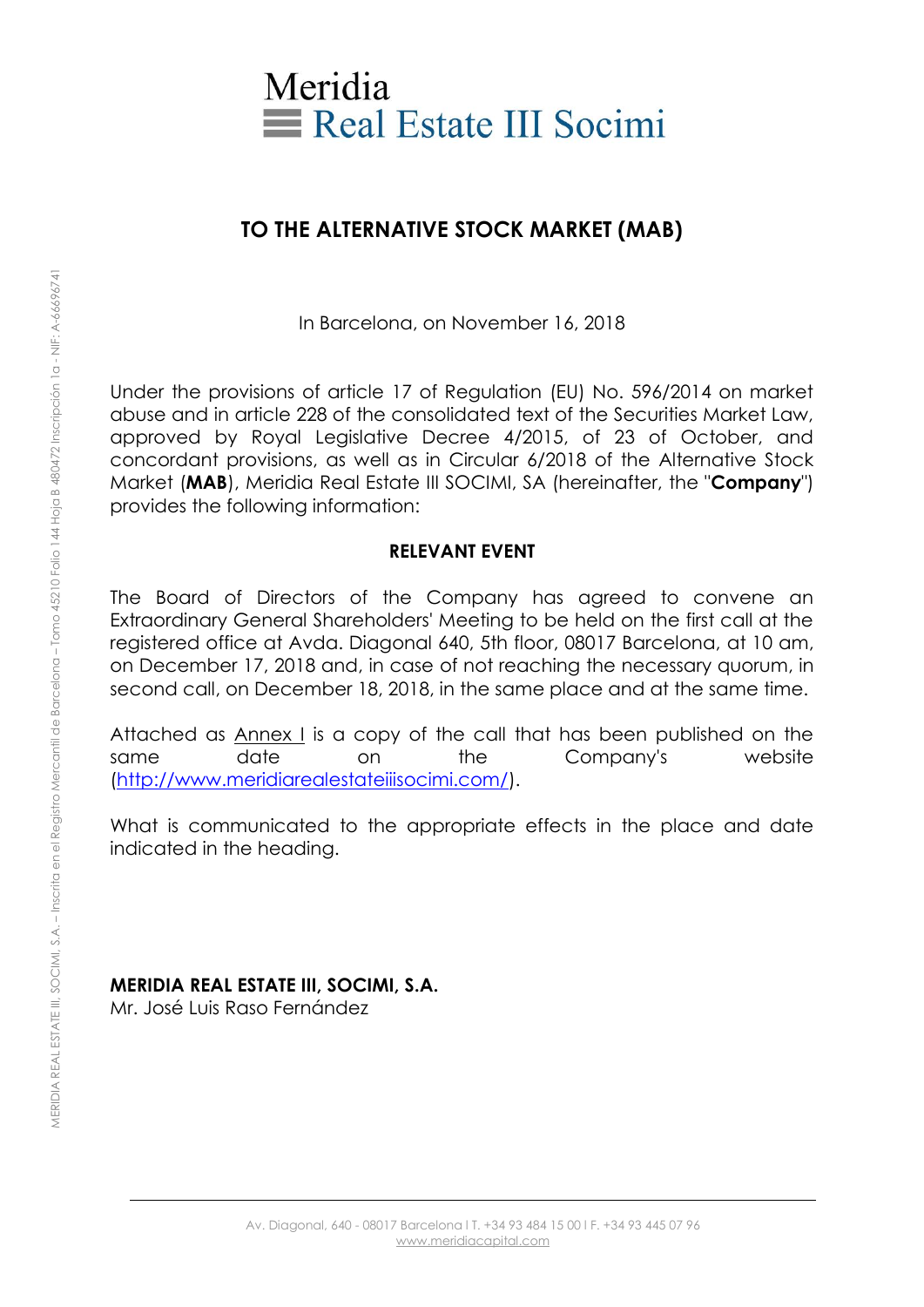

# **TO THE ALTERNATIVE STOCK MARKET (MAB)**

In Barcelona, on November 16, 2018

Under the provisions of article 17 of Regulation (EU) No. 596/2014 on market abuse and in article 228 of the consolidated text of the Securities Market Law, approved by Royal Legislative Decree 4/2015, of 23 of October, and concordant provisions, as well as in Circular 6/2018 of the Alternative Stock Market (**MAB**), Meridia Real Estate III SOCIMI, SA (hereinafter, the "**Company**") provides the following information:

#### **RELEVANT EVENT**

The Board of Directors of the Company has agreed to convene an Extraordinary General Shareholders' Meeting to be held on the first call at the registered office at Avda. Diagonal 640, 5th floor, 08017 Barcelona, at 10 am, on December 17, 2018 and, in case of not reaching the necessary quorum, in second call, on December 18, 2018, in the same place and at the same time.

Attached as Annex I is a copy of the call that has been published on the same date on the Company's website [\(http://www.meridiarealestateiiisocimi.com/\)](http://www.meridiarealestateiiisocimi.com/).

What is communicated to the appropriate effects in the place and date indicated in the heading.

**MERIDIA REAL ESTATE III, SOCIMI, S.A.** Mr. José Luis Raso Fernández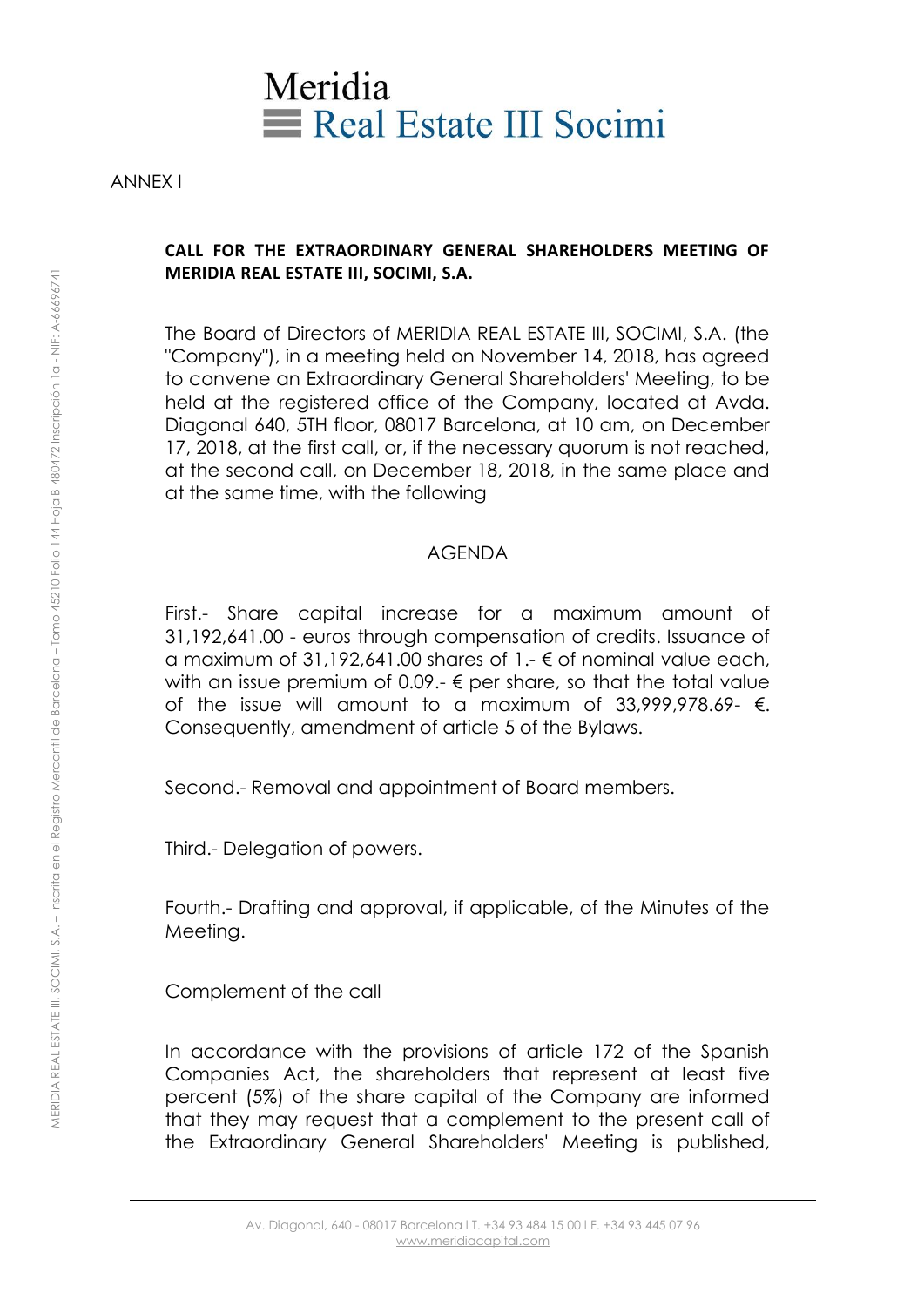

ANNEX I

### **CALL FOR THE EXTRAORDINARY GENERAL SHAREHOLDERS MEETING OF MERIDIA REAL ESTATE III, SOCIMI, S.A.**

The Board of Directors of MERIDIA REAL ESTATE III, SOCIMI, S.A. (the "Company"), in a meeting held on November 14, 2018, has agreed to convene an Extraordinary General Shareholders' Meeting, to be held at the registered office of the Company, located at Avda. Diagonal 640, 5TH floor, 08017 Barcelona, at 10 am, on December 17, 2018, at the first call, or, if the necessary quorum is not reached, at the second call, on December 18, 2018, in the same place and at the same time, with the following

## AGENDA

First.- Share capital increase for a maximum amount of 31,192,641.00 - euros through compensation of credits. Issuance of a maximum of 31,192,641.00 shares of 1.-  $\epsilon$  of nominal value each, with an issue premium of 0.09.-  $\epsilon$  per share, so that the total value of the issue will amount to a maximum of 33,999,978.69-  $\epsilon$ . Consequently, amendment of article 5 of the Bylaws.

Second.- Removal and appointment of Board members.

Third.- Delegation of powers.

Fourth.- Drafting and approval, if applicable, of the Minutes of the Meeting.

Complement of the call

In accordance with the provisions of article 172 of the Spanish Companies Act, the shareholders that represent at least five percent (5%) of the share capital of the Company are informed that they may request that a complement to the present call of the Extraordinary General Shareholders' Meeting is published,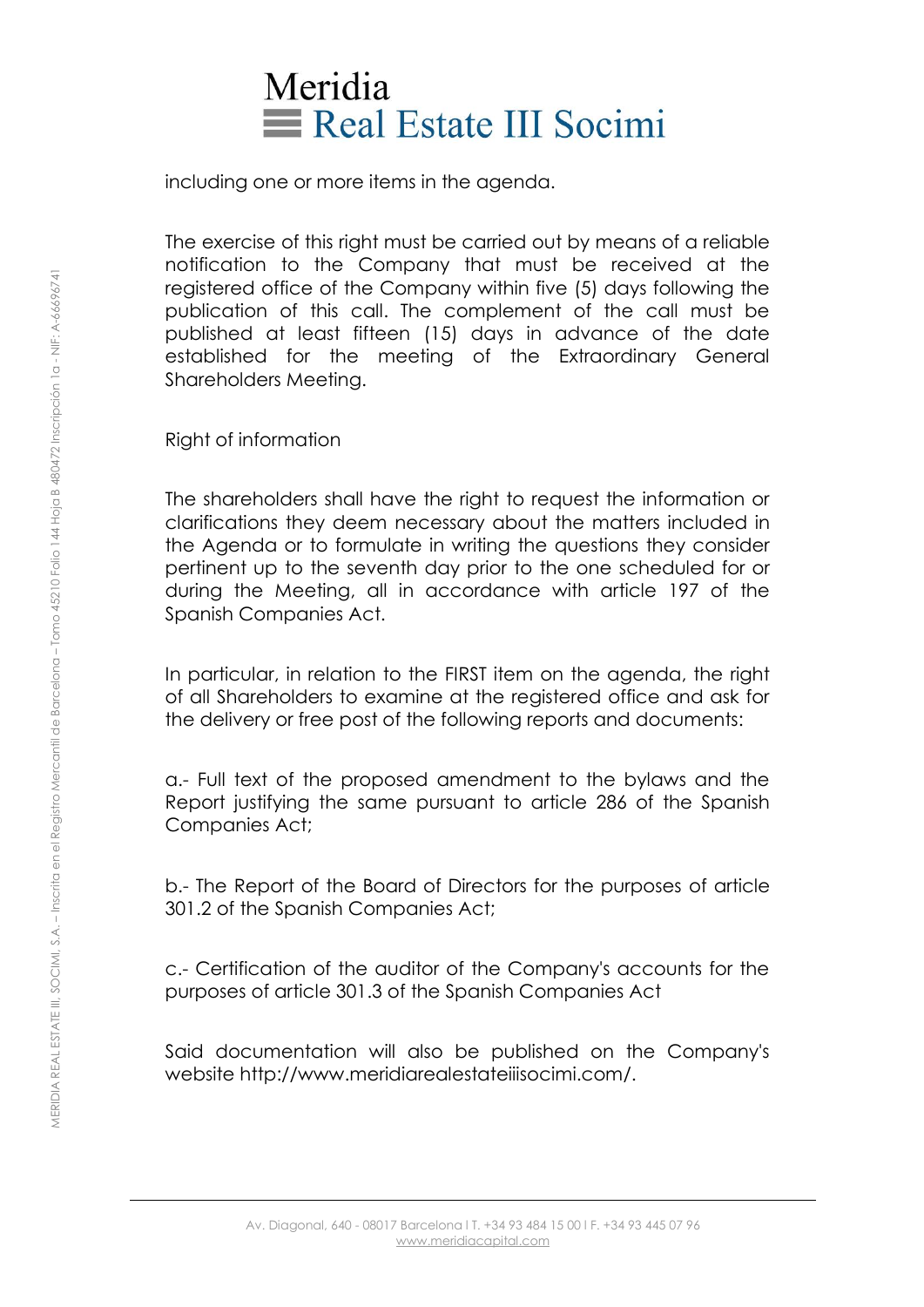# Meridia Real Estate III Socimi

including one or more items in the agenda.

The exercise of this right must be carried out by means of a reliable notification to the Company that must be received at the registered office of the Company within five (5) days following the publication of this call. The complement of the call must be published at least fifteen (15) days in advance of the date established for the meeting of the Extraordinary General Shareholders Meeting.

Right of information

The shareholders shall have the right to request the information or clarifications they deem necessary about the matters included in the Agenda or to formulate in writing the questions they consider pertinent up to the seventh day prior to the one scheduled for or during the Meeting, all in accordance with article 197 of the Spanish Companies Act.

In particular, in relation to the FIRST item on the agenda, the right of all Shareholders to examine at the registered office and ask for the delivery or free post of the following reports and documents:

a.- Full text of the proposed amendment to the bylaws and the Report justifying the same pursuant to article 286 of the Spanish Companies Act;

b.- The Report of the Board of Directors for the purposes of article 301.2 of the Spanish Companies Act;

c.- Certification of the auditor of the Company's accounts for the purposes of article 301.3 of the Spanish Companies Act

Said documentation will also be published on the Company's website http://www.meridiarealestateiiisocimi.com/.